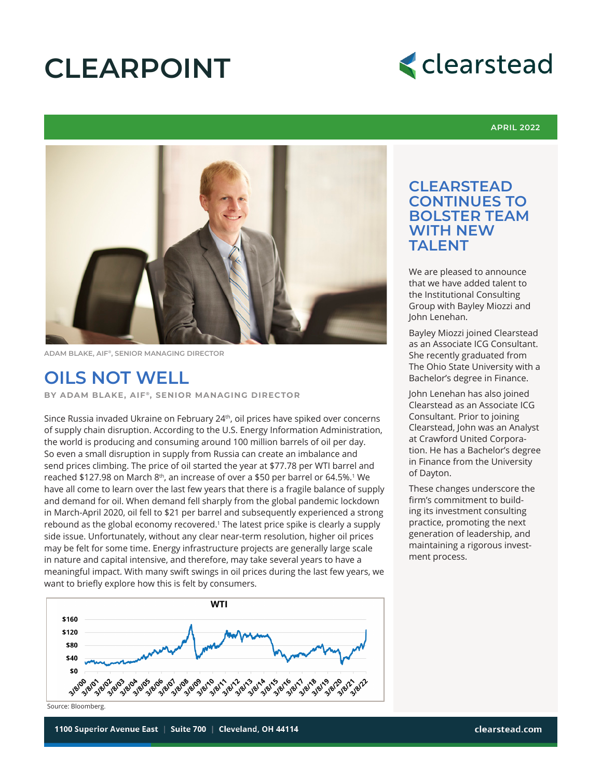# **CLEARPOINT**



#### **APRIL 2022**



**ADAM BLAKE, AIF®, SENIOR MANAGING DIRECTOR**

### **OILS NOT WELL**

**BY ADAM BLAKE, AIF<sup>®</sup>, SENIOR MANAGING DIRECTOR** 

Since Russia invaded Ukraine on February 24<sup>th</sup>, oil prices have spiked over concerns of supply chain disruption. According to the U.S. Energy Information Administration, the world is producing and consuming around 100 million barrels of oil per day. So even a small disruption in supply from Russia can create an imbalance and send prices climbing. The price of oil started the year at \$77.78 per WTI barrel and reached \$127.98 on March  $8<sup>th</sup>$ , an increase of over a \$50 per barrel or 64.5%.<sup>1</sup> We have all come to learn over the last few years that there is a fragile balance of supply and demand for oil. When demand fell sharply from the global pandemic lockdown in March-April 2020, oil fell to \$21 per barrel and subsequently experienced a strong rebound as the global economy recovered.<sup>1</sup> The latest price spike is clearly a supply side issue. Unfortunately, without any clear near-term resolution, higher oil prices may be felt for some time. Energy infrastructure projects are generally large scale in nature and capital intensive, and therefore, may take several years to have a meaningful impact. With many swift swings in oil prices during the last few years, we want to briefly explore how this is felt by consumers.



**CLEARSTEAD CONTINUES TO BOLSTER TEAM WITH NEW TAI FNT** 

We are pleased to announce that we have added talent to the Institutional Consulting Group with Bayley Miozzi and John Lenehan.

Bayley Miozzi joined Clearstead as an Associate ICG Consultant. She recently graduated from The Ohio State University with a Bachelor's degree in Finance.

John Lenehan has also joined Clearstead as an Associate ICG Consultant. Prior to joining Clearstead, John was an Analyst at Crawford United Corporation. He has a Bachelor's degree in Finance from the University of Dayton.

These changes underscore the firm's commitment to building its investment consulting practice, promoting the next generation of leadership, and maintaining a rigorous investment process.

1100 Superior Avenue East • Suite 700 • Cleveland, Ohio 44114

Source: Bloomberg.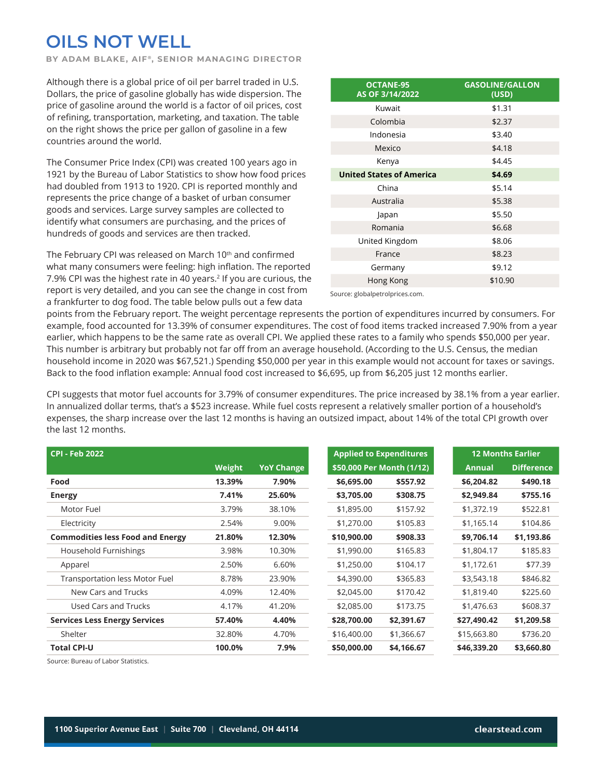## **OILS NOT WELL**

**BY ADAM BLAKE, AIF<sup>®</sup>, SENIOR MANAGING DIRECTOR** 

Although there is a global price of oil per barrel traded in U.S. Dollars, the price of gasoline globally has wide dispersion. The price of gasoline around the world is a factor of oil prices, cost of refining, transportation, marketing, and taxation. The table on the right shows the price per gallon of gasoline in a few countries around the world.

The Consumer Price Index (CPI) was created 100 years ago in 1921 by the Bureau of Labor Statistics to show how food prices had doubled from 1913 to 1920. CPI is reported monthly and represents the price change of a basket of urban consumer goods and services. Large survey samples are collected to identify what consumers are purchasing, and the prices of hundreds of goods and services are then tracked.

The February CPI was released on March 10<sup>th</sup> and confirmed what many consumers were feeling: high inflation. The reported 7.9% CPI was the highest rate in 40 years.<sup>2</sup> If you are curious, the report is very detailed, and you can see the change in cost from a frankfurter to dog food. The table below pulls out a few data

| <b>OCTANE-95</b><br>AS OF 3/14/2022 | <b>GASOLINE/GALLON</b><br>(USD) |
|-------------------------------------|---------------------------------|
| Kuwait                              | \$1.31                          |
| Colombia                            | \$2.37                          |
| Indonesia                           | \$3.40                          |
| Mexico                              | \$4.18                          |
| Kenya                               | \$4.45                          |
| <b>United States of America</b>     | \$4.69                          |
| China                               | \$5.14                          |
| Australia                           | \$5.38                          |
| Japan                               | \$5.50                          |
| Romania                             | \$6.68                          |
| United Kingdom                      | \$8.06                          |
| France                              | \$8.23                          |
| Germany                             | \$9.12                          |
| Hong Kong                           | \$10.90                         |
|                                     |                                 |

Source: globalpetrolprices.com.

points from the February report. The weight percentage represents the portion of expenditures incurred by consumers. For example, food accounted for 13.39% of consumer expenditures. The cost of food items tracked increased 7.90% from a year earlier, which happens to be the same rate as overall CPI. We applied these rates to a family who spends \$50,000 per year. This number is arbitrary but probably not far off from an average household. (According to the U.S. Census, the median household income in 2020 was \$67,521.) Spending \$50,000 per year in this example would not account for taxes or savings. Back to the food inflation example: Annual food cost increased to \$6,695, up from \$6,205 just 12 months earlier.

CPI suggests that motor fuel accounts for 3.79% of consumer expenditures. The price increased by 38.1% from a year earlier. In annualized dollar terms, that's a \$523 increase. While fuel costs represent a relatively smaller portion of a household's expenses, the sharp increase over the last 12 months is having an outsized impact, about 14% of the total CPI growth over the last 12 months.

| <b>CPI - Feb 2022</b>                   |        |                   | <b>Applied to Expenditures</b> |                           |               | <b>12 Months Earlier</b> |
|-----------------------------------------|--------|-------------------|--------------------------------|---------------------------|---------------|--------------------------|
|                                         | Weight | <b>YoY Change</b> |                                | \$50,000 Per Month (1/12) | <b>Annual</b> | <b>Difference</b>        |
| Food                                    | 13.39% | 7.90%             | \$6,695.00                     | \$557.92                  | \$6,204.82    | \$490.18                 |
| <b>Energy</b>                           | 7.41%  | 25.60%            | \$3,705.00                     | \$308.75                  | \$2,949.84    | \$755.16                 |
| Motor Fuel                              | 3.79%  | 38.10%            | \$1,895.00                     | \$157.92                  | \$1,372.19    | \$522.81                 |
| Electricity                             | 2.54%  | 9.00%             | \$1,270.00                     | \$105.83                  | \$1,165.14    | \$104.86                 |
| <b>Commodities less Food and Energy</b> | 21.80% | 12.30%            | \$10,900.00                    | \$908.33                  | \$9,706.14    | \$1,193.86               |
| Household Furnishings                   | 3.98%  | 10.30%            | \$1,990.00                     | \$165.83                  | \$1,804.17    | \$185.83                 |
| Apparel                                 | 2.50%  | 6.60%             | \$1,250.00                     | \$104.17                  | \$1,172.61    | \$77.39                  |
| <b>Transportation less Motor Fuel</b>   | 8.78%  | 23.90%            | \$4,390.00                     | \$365.83                  | \$3,543.18    | \$846.82                 |
| New Cars and Trucks                     | 4.09%  | 12.40%            | \$2,045.00                     | \$170.42                  | \$1,819.40    | \$225.60                 |
| Used Cars and Trucks                    | 4.17%  | 41.20%            | \$2,085.00                     | \$173.75                  | \$1,476.63    | \$608.37                 |
| <b>Services Less Energy Services</b>    | 57.40% | 4.40%             | \$28,700.00                    | \$2,391.67                | \$27,490.42   | \$1,209.58               |
| Shelter                                 | 32.80% | 4.70%             | \$16,400.00                    | \$1,366.67                | \$15,663.80   | \$736.20                 |
| <b>Total CPI-U</b>                      | 100.0% | 7.9%              | \$50,000.00                    | \$4,166.67                | \$46,339.20   | \$3,660.80               |
|                                         |        |                   |                                |                           |               |                          |

1100 Superior Avenue East • Suite 700 • Cleveland, Ohio 44114 clearstead.com

Source: Bureau of Labor Statistics.